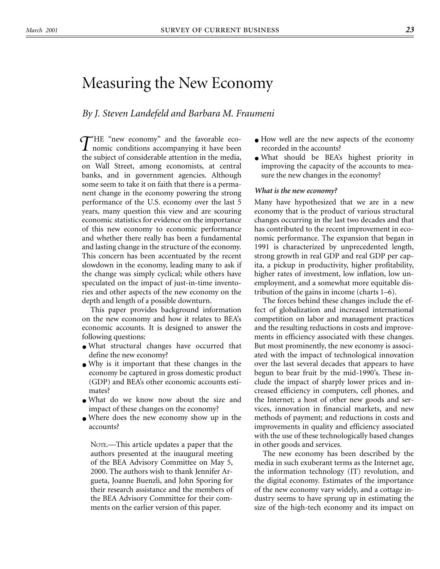# <span id="page-0-0"></span>Measuring the New Economy

## *By J. Steven Landefeld and Barbara M. Fraumeni*

THE "new economy" and the favorable eco-<br>nomic conditions accompanying it have been **1** nomic conditions accompanying it have been the subject of considerable attention in the media, on Wall Street, among economists, at central banks, and in government agencies. Although some seem to take it on faith that there is a permanent change in the economy powering the strong performance of the U.S. economy over the last 5 years, many question this view and are scouring economic statistics for evidence on the importance of this new economy to economic performance and whether there really has been a fundamental and lasting change in the structure of the economy. This concern has been accentuated by the recent slowdown in the economy, leading many to ask if the change was simply cyclical; while others have speculated on the impact of just-in-time inventories and other aspects of the new economy on the depth and length of a possible downturn.

This paper provides background information on the new economy and how it relates to BEA's economic accounts. It is designed to answer the following questions:

- What structural changes have occurred that define the new economy?
- Why is it important that these changes in the economy be captured in gross domestic product (GDP) and BEA's other economic accounts estimates?
- What do we know now about the size and impact of these changes on the economy?
- Where does the new economy show up in the accounts?

NOTE.—This article updates a paper that the authors presented at the inaugural meeting of the BEA Advisory Committee on May 5, 2000. The authors wish to thank Jennifer Argueta, Joanne Buenzli, and John Sporing for their research assistance and the members of the BEA Advisory Committee for their comments on the earlier version of this paper.

- How well are the new aspects of the economy recorded in the accounts?
- What should be BEA's highest priority in improving the capacity of the accounts to measure the new changes in the economy?

#### *What is the new economy?*

Many have hypothesized that we are in a new economy that is the product of various structural changes occurring in the last two decades and that has contributed to the recent improvement in economic performance. The expansion that began in 1991 is characterized by unprecedented length, strong growth in real GDP and real GDP per capita, a pickup in productivity, higher profitability, higher rates of investment, low inflation, low unemployment, and a somewhat more equitable distribution of the gains in income (charts 1–6).

The forces behind these changes include the effect of globalization and increased international competition on labor and management practices and the resulting reductions in costs and improvements in efficiency associated with these changes. But most prominently, the new economy is associated with the impact of technological innovation over the last several decades that appears to have begun to bear fruit by the mid-1990's. These include the impact of sharply lower prices and increased efficiency in computers, cell phones, and the Internet; a host of other new goods and services, innovation in financial markets, and new methods of payment; and reductions in costs and improvements in quality and efficiency associated with the use of these technologically based changes in other goods and services.

The new economy has been described by the media in such exuberant terms as the Internet age, the information technology (IT) revolution, and the digital economy. Estimates of the importance of the new economy vary widely, and a cottage industry seems to have sprung up in estimating the size of the high-tech economy and its impact on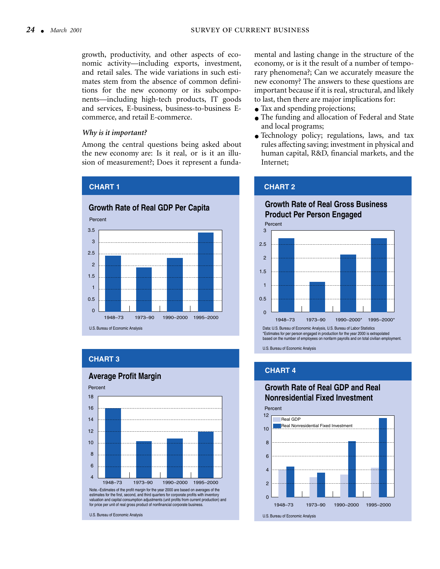growth, productivity, and other aspects of economic activity—including exports, investment, and retail sales. The wide variations in such estimates stem from the absence of common definitions for the new economy or its subcomponents—including high-tech products, IT goods and services, E-business, business-to-business Ecommerce, and retail E-commerce.

#### *Why is it important?*

**CHART 1**

Among the central questions being asked about the new economy are: Is it real, or is it an illusion of measurement?; Does it represent a funda-



## **CHART 3**



**Average Profit Margin**

mental and lasting change in the structure of the economy, or is it the result of a number of temporary phenomena?; Can we accurately measure the new economy? The answers to these questions are important because if it is real, structural, and likely to last, then there are major implications for:

- Tax and spending projections;
- The funding and allocation of Federal and State and local programs;
- Technology policy; regulations, laws, and tax rules affecting saving; investment in physical and human capital, R&D, financial markets, and the Internet;

# **CHART 2**

## **Growth Rate of Real Gross Business Product Per Person Engaged** Percent



\*Estimates for per person engaged in production for the year 2000 is extrapolated based on the number of employees on nonfarm payrolls and on total civilian employment.

U.S. Bureau of Economic Analysis

## **CHART 4**

# **Growth Rate of Real GDP and Real Nonresidential Fixed Investment**

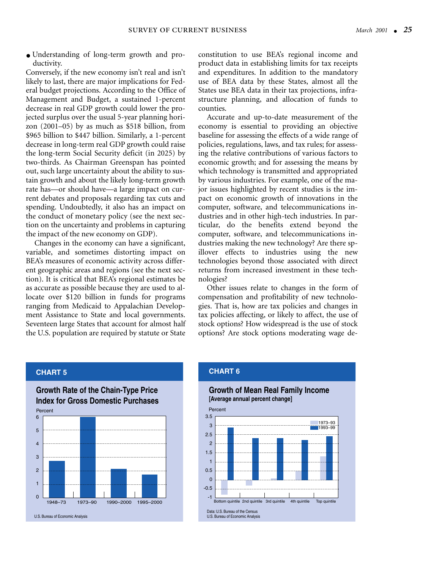● Understanding of long-term growth and productivity.

Conversely, if the new economy isn't real and isn't likely to last, there are major implications for Federal budget projections. According to the Office of Management and Budget, a sustained 1-percent decrease in real GDP growth could lower the projected surplus over the usual 5-year planning horizon (2001–05) by as much as \$518 billion, from \$965 billion to \$447 billion. Similarly, a 1-percent decrease in long-term real GDP growth could raise the long-term Social Security deficit (in 2025) by two-thirds. As Chairman Greenspan has pointed out, such large uncertainty about the ability to sustain growth and about the likely long-term growth rate has—or should have—a large impact on current debates and proposals regarding tax cuts and spending. Undoubtedly, it also has an impact on the conduct of monetary policy (see the next section on the uncertainty and problems in capturing the impact of the new economy on GDP).

Changes in the economy can have a significant, variable, and sometimes distorting impact on BEA's measures of economic activity across different geographic areas and regions (see the next section). It is critical that BEA's regional estimates be as accurate as possible because they are used to allocate over \$120 billion in funds for programs ranging from Medicaid to Appalachian Development Assistance to State and local governments. Seventeen large States that account for almost half the U.S. population are required by statute or State constitution to use BEA's regional income and product data in establishing limits for tax receipts and expenditures. In addition to the mandatory use of BEA data by these States, almost all the States use BEA data in their tax projections, infrastructure planning, and allocation of funds to counties.

Accurate and up-to-date measurement of the economy is essential to providing an objective baseline for assessing the effects of a wide range of policies, regulations, laws, and tax rules; for assessing the relative contributions of various factors to economic growth; and for assessing the means by which technology is transmitted and appropriated by various industries. For example, one of the major issues highlighted by recent studies is the impact on economic growth of innovations in the computer, software, and telecommunications industries and in other high-tech industries. In particular, do the benefits extend beyond the computer, software, and telecommunications industries making the new technology? Are there spillover effects to industries using the new technologies beyond those associated with direct returns from increased investment in these technologies?

Other issues relate to changes in the form of compensation and profitability of new technologies. That is, how are tax policies and changes in tax policies affecting, or likely to affect, the use of stock options? How widespread is the use of stock options? Are stock options moderating wage de-

#### **CHART 5**





#### **CHART 6**

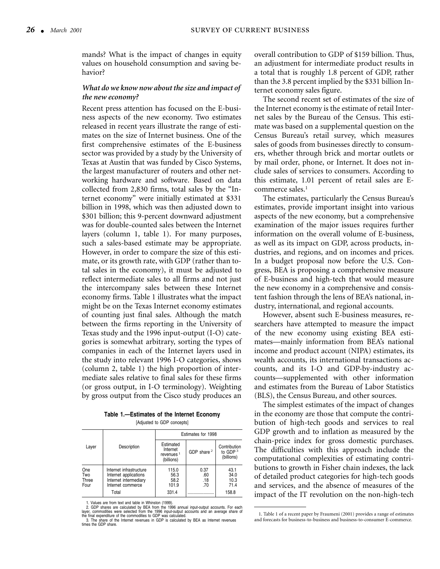mands? What is the impact of changes in equity values on household consumption and saving behavior?

#### *What do we know now about the size and impact of the new economy?*

Recent press attention has focused on the E-business aspects of the new economy. Two estimates released in recent years illustrate the range of estimates on the size of Internet business. One of the first comprehensive estimates of the E-business sector was provided by a study by the University of Texas at Austin that was funded by Cisco Systems, the largest manufacturer of routers and other networking hardware and software. Based on data collected from 2,830 firms, total sales by the "Internet economy" were initially estimated at \$331 billion in 1998, which was then adjusted down to \$301 billion; this 9-percent downward adjustment was for double-counted sales between the Internet layers (column 1, table 1). For many purposes, such a sales-based estimate may be appropriate. However, in order to compare the size of this estimate, or its growth rate, with GDP (rather than total sales in the economy), it must be adjusted to reflect intermediate sales to all firms and not just the intercompany sales between these Internet economy firms. Table 1 illustrates what the impact might be on the Texas Internet economy estimates of counting just final sales. Although the match between the firms reporting in the University of Texas study and the 1996 input-output (I-O) categories is somewhat arbitrary, sorting the types of companies in each of the Internet layers used in the study into relevant 1996 I-O categories, shows (column 2, table 1) the high proportion of intermediate sales relative to final sales for these firms (or gross output, in I-O terminology). Weighting by gross output from the Cisco study produces an

**Table 1.—Estimates of the Internet Economy** [Adius

|  | usted to GDP concepts |  |
|--|-----------------------|--|
|  |                       |  |

|                             |                                                                                                         | Estimates for 1998                                           |                           |                                          |  |  |
|-----------------------------|---------------------------------------------------------------------------------------------------------|--------------------------------------------------------------|---------------------------|------------------------------------------|--|--|
| Layer                       | Description                                                                                             | Estimated<br>Internet<br>revenues <sup>1</sup><br>(billions) | GDP share $2$             | Contribution<br>to GDP $3$<br>(billions) |  |  |
| One<br>Two<br>Three<br>Four | Internet infrastructure<br>Internet applications<br>Internet intermediary<br>Internet commerce<br>Total | 115.0<br>56.3<br>58.2<br>101.9<br>331.4                      | 0.37<br>.60<br>.18<br>.70 | 43.1<br>34.0<br>10.3<br>71.4<br>158.8    |  |  |

1. Values are from text and table in Whinston (1999).<br>2. GDP shares are calculated by BEA from the 1996 annual input-output accounts. For each<br>layer, commodities were selected from the 1996 input-output accounts and an ave

overall contribution to GDP of \$159 billion. Thus, an adjustment for intermediate product results in a total that is roughly 1.8 percent of GDP, rather than the 3.8 percent implied by the \$331 billion Internet economy sales figure.

The second recent set of estimates of the size of the Internet economy is the estimate of retail Internet sales by the Bureau of the Census. This estimate was based on a supplemental question on the Census Bureau's retail survey, which measures sales of goods from businesses directly to consumers, whether through brick and mortar outlets or by mail order, phone, or Internet. It does not include sales of services to consumers. According to this estimate, 1.01 percent of retail sales are Ecommerce sales.<sup>1</sup>

The estimates, particularly the Census Bureau's estimates, provide important insight into various aspects of the new economy, but a comprehensive examination of the major issues requires further information on the overall volume of E-business, as well as its impact on GDP, across products, industries, and regions, and on incomes and prices. In a budget proposal now before the U.S. Congress, BEA is proposing a comprehensive measure of E-business and high-tech that would measure the new economy in a comprehensive and consistent fashion through the lens of BEA's national, industry, international, and regional accounts.

However, absent such E-business measures, researchers have attempted to measure the impact of the new economy using existing BEA estimates—mainly information from BEA's national income and product account (NIPA) estimates, its wealth accounts, its international transactions accounts, and its I-O and GDP-by-industry accounts—supplemented with other information and estimates from the Bureau of Labor Statistics (BLS), the Census Bureau, and other sources.

The simplest estimates of the impact of changes in the economy are those that compute the contribution of high-tech goods and services to real GDP growth and to inflation as measured by the chain-price index for gross domestic purchases. The difficulties with this approach include the computational complexities of estimating contributions to growth in Fisher chain indexes, the lack of detailed product categories for high-tech goods and services, and the absence of measures of the impact of the IT revolution on the non-high-tech

<sup>1.</sup> Table 1 of a recent paper by Fraumeni (2001) provides a range of estimates and forecasts for business-to-business and business-to-consumer E-commerce.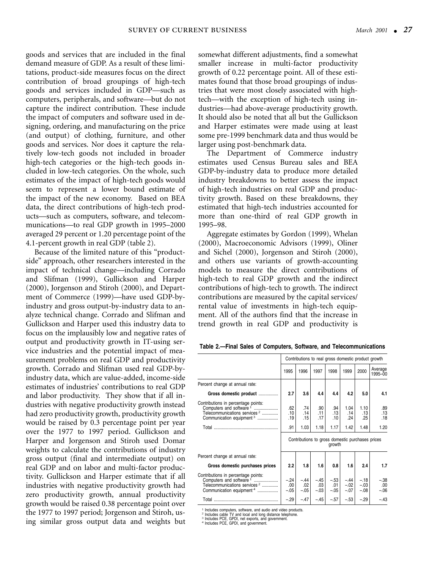goods and services that are included in the final demand measure of GDP. As a result of these limitations, product-side measures focus on the direct contribution of broad groupings of high-tech goods and services included in GDP—such as computers, peripherals, and software—but do not capture the indirect contribution. These include the impact of computers and software used in designing, ordering, and manufacturing on the price (and output) of clothing, furniture, and other goods and services. Nor does it capture the relatively low-tech goods not included in broader high-tech categories or the high-tech goods included in low-tech categories. On the whole, such estimates of the impact of high-tech goods would seem to represent a lower bound estimate of the impact of the new economy. Based on BEA data, the direct contributions of high-tech products—such as computers, software, and telecommunications—to real GDP growth in 1995–2000 averaged 29 percent or 1.20 percentage point of the 4.1-percent growth in real GDP (table 2).

Because of the limited nature of this "productside" approach, other researchers interested in the impact of technical change—including Corrado and Slifman (1999), Gullickson and Harper (2000), Jorgenson and Stiroh (2000), and Department of Commerce (1999)—have used GDP-byindustry and gross output-by-industry data to analyze technical change. Corrado and Slifman and Gullickson and Harper used this industry data to focus on the implausibly low and negative rates of output and productivity growth in IT-using service industries and the potential impact of measurement problems on real GDP and productivity growth. Corrado and Slifman used real GDP-byindustry data, which are value-added, income-side estimates of industries' contributions to real GDP and labor productivity. They show that if all industries with negative productivity growth instead had zero productivity growth, productivity growth would be raised by 0.3 percentage point per year over the 1977 to 1997 period. Gullickson and Harper and Jorgenson and Stiroh used Domar weights to calculate the contributions of industry gross output (final and intermediate output) on real GDP and on labor and multi-factor productivity. Gullickson and Harper estimate that if all industries with negative productivity growth had zero productivity growth, annual productivity growth would be raised 0.38 percentage point over the 1977 to 1997 period; Jorgenson and Stiroh, using similar gross output data and weights but

somewhat different adjustments, find a somewhat smaller increase in multi-factor productivity growth of 0.22 percentage point. All of these estimates found that those broad groupings of industries that were most closely associated with hightech—with the exception of high-tech using industries—had above-average productivity growth. It should also be noted that all but the Gullickson and Harper estimates were made using at least some pre-1999 benchmark data and thus would be larger using post-benchmark data.

The Department of Commerce industry estimates used Census Bureau sales and BEA GDP-by-industry data to produce more detailed industry breakdowns to better assess the impact of high-tech industries on real GDP and productivity growth. Based on these breakdowns, they estimated that high-tech industries accounted for more than one-third of real GDP growth in 1995–98.

Aggregate estimates by Gordon (1999), Whelan (2000), Macroeconomic Advisors (1999), Oliner and Sichel (2000), Jorgenson and Stiroh (2000), and others use variants of growth-accounting models to measure the direct contributions of high-tech to real GDP growth and the indirect contributions of high-tech to growth. The indirect contributions are measured by the capital services/ rental value of investments in high-tech equipment. All of the authors find that the increase in trend growth in real GDP and productivity is

| Table 2.-Final Sales of Computers, Software, and Telecommunications |  |  |  |
|---------------------------------------------------------------------|--|--|--|
|---------------------------------------------------------------------|--|--|--|

|                                                                                                                                                                |                          |                           |                           | Contributions to real gross domestic product growth                                     |                            |                            |                           |
|----------------------------------------------------------------------------------------------------------------------------------------------------------------|--------------------------|---------------------------|---------------------------|-----------------------------------------------------------------------------------------|----------------------------|----------------------------|---------------------------|
|                                                                                                                                                                | 1995                     | 1996                      | 1997                      | 1998                                                                                    | 1999                       | 2000                       | Average<br>1995-00        |
| Percent change at annual rate:                                                                                                                                 |                          |                           |                           |                                                                                         |                            |                            |                           |
| Gross domestic product                                                                                                                                         | 2.7                      | 3.6                       | 4.4                       | 4.4                                                                                     | 4.2                        | 5.0                        | 4.1                       |
| Contributions in percentage points:<br>Computers and software 1<br>Telecommunications services <sup>2</sup><br>Communication equipment <sup>3</sup>            | .62<br>.10<br>.19<br>.91 | .74<br>.14<br>.15<br>1.03 | .90<br>.11<br>.17<br>1.18 | .94<br>.13<br>.10<br>1.17<br>Contributions to gross domestic purchases prices<br>growth | 1.04<br>.14<br>.24<br>1.42 | 1.10<br>.13<br>.25<br>1.48 | .89<br>.13<br>.18<br>1.20 |
| Percent change at annual rate:                                                                                                                                 |                          |                           |                           |                                                                                         |                            |                            |                           |
| Gross domestic purchases prices                                                                                                                                | 2.2                      | 1.8                       | 1.6                       | 0.8                                                                                     | 1.6                        | 2.4                        | 1.7                       |
| Contributions in percentage points:<br>Computers and software <sup>1</sup><br>Telecommunications services <sup>2</sup><br>Communication equipment <sup>4</sup> | $-.24$<br>.00.<br>$-.05$ | $-.44$<br>.02<br>$-.05$   | $-.45$<br>.03<br>$-.03$   | $-.53$<br>.01<br>$-.05$                                                                 | $-.44$<br>$-.02$<br>$-.07$ | $-.18$<br>$-.03$<br>$-.08$ | $-.38$<br>.00<br>$-06$    |
|                                                                                                                                                                | $-.29$                   | $-.47$                    | $-.45$                    | $-.57$                                                                                  | $-.53$                     | $-.29$                     | $-.43$                    |

<sup>1</sup> Includes computers, software, and audio and video products.<br><sup>2</sup> Includes cable TV and local and long distance telephone.<br><sup>3</sup> Includes PCE, GPDI, and government. 4 Includes PCE, GPDI, and government.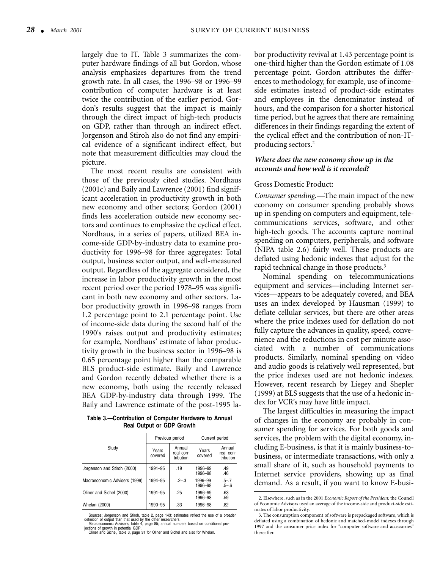largely due to IT. Table 3 summarizes the computer hardware findings of all but Gordon, whose analysis emphasizes departures from the trend growth rate. In all cases, the 1996–98 or 1996–99 contribution of computer hardware is at least twice the contribution of the earlier period. Gordon's results suggest that the impact is mainly through the direct impact of high-tech products on GDP, rather than through an indirect effect. Jorgenson and Stiroh also do not find any empirical evidence of a significant indirect effect, but note that measurement difficulties may cloud the picture.

The most recent results are consistent with those of the previously cited studies. Nordhaus (2001c) and Baily and Lawrence (2001) find significant acceleration in productivity growth in both new economy and other sectors; Gordon (2001) finds less acceleration outside new economy sectors and continues to emphasize the cyclical effect. Nordhaus, in a series of papers, utilized BEA income-side GDP-by-industry data to examine productivity for 1996–98 for three aggregates: Total output, business sector output, and well-measured output. Regardless of the aggregate considered, the increase in labor productivity growth in the most recent period over the period 1978–95 was significant in both new economy and other sectors. Labor productivity growth in 1996–98 ranges from 1.2 percentage point to 2.1 percentage point. Use of income-side data during the second half of the 1990's raises output and productivity estimates; for example, Nordhaus' estimate of labor productivity growth in the business sector in 1996–98 is 0.65 percentage point higher than the comparable BLS product-side estimate. Baily and Lawrence and Gordon recently debated whether there is a new economy, both using the recently released BEA GDP-by-industry data through 1999. The Baily and Lawrence estimate of the post-1995 la-

**Table 3.—Contribution of Computer Hardware to Annual Real Output or GDP Growth**

|                               |                  | Previous period                  | Current period     |                                  |  |
|-------------------------------|------------------|----------------------------------|--------------------|----------------------------------|--|
| Study                         | Years<br>covered | Annual<br>real con-<br>tribution | Years<br>covered   | Annual<br>real con-<br>tribution |  |
| Jorgenson and Stiroh (2000)   | 1991-95          | .19                              | 1996-99<br>1996-98 | .49<br>.46                       |  |
| Macroeconomic Advisers (1999) | 1994-95          | $-2-3$                           | 1996-99<br>1996-98 | $.5 - .7$<br>$.5 - .6$           |  |
| Oliner and Sichel (2000)      | 1991-95          | .25                              | 1996-99<br>1996-98 | .63<br>.59                       |  |
| <b>Whelan (2000)</b>          | 1990-95          | .33                              | 1996-98            | .82                              |  |

Sources: Jorgenson and Stiroh, table 2, page 143; estimates reflect the use of a broader

definition of output than that used by the other researchers.<br>Macroeconomic Advisers, table 4, page 85; annual numbers based on conditional pro-<br>jections of growth in potential GDP.<br>Oliner and Sichel, table 3, page 31 for

bor productivity revival at 1.43 percentage point is one-third higher than the Gordon estimate of 1.08 percentage point. Gordon attributes the differences to methodology, for example, use of incomeside estimates instead of product-side estimates and employees in the denominator instead of hours, and the comparison for a shorter historical time period, but he agrees that there are remaining differences in their findings regarding the extent of the cyclical effect and the contribution of non-ITproducing sectors.2

#### *Where does the new economy show up in the accounts and how well is it recorded?*

#### Gross Domestic Product:

*Consumer spending.—*The main impact of the new economy on consumer spending probably shows up in spending on computers and equipment, telecommunications services, software, and other high-tech goods. The accounts capture nominal spending on computers, peripherals, and software (NIPA table 2.6) fairly well. These products are deflated using hedonic indexes that adjust for the rapid technical change in those products.<sup>3</sup>

Nominal spending on telecommunications equipment and services—including Internet services—appears to be adequately covered, and BEA uses an index developed by Hausman (1999) to deflate cellular services, but there are other areas where the price indexes used for deflation do not fully capture the advances in quality, speed, convenience and the reductions in cost per minute associated with a number of communications products. Similarly, nominal spending on video and audio goods is relatively well represented, but the price indexes used are not hedonic indexes. However, recent research by Liegey and Shepler (1999) at BLS suggests that the use of a hedonic index for VCR's may have little impact.

The largest difficulties in measuring the impact of changes in the economy are probably in consumer spending for services. For both goods and services, the problem with the digital economy, including E-business, is that it is mainly business-tobusiness, or intermediate transactions, with only a small share of it, such as household payments to Internet service providers, showing up as final demand. As a result, if you want to know E-busi-

<sup>2.</sup> Elsewhere, such as in the 2001 *Economic Report of the President*, the Council of Economic Advisors used an average of the income-side and product-side estimates of labor productivity.

<sup>3.</sup> The consumption component of software is prepackaged software, which is deflated using a combination of hedonic and matched-model indexes through 1997 and the consumer price index for "computer software and accessories" thereafter.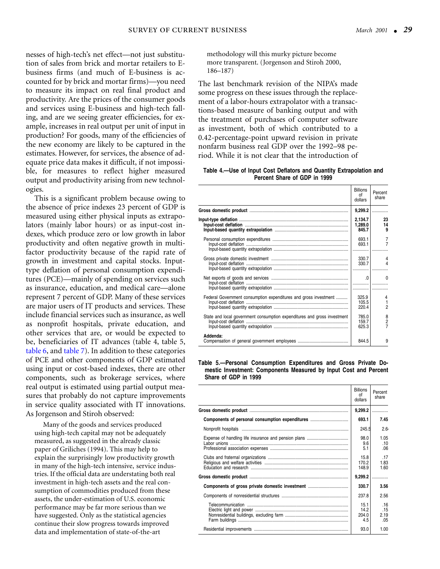nesses of high-tech's net effect—not just substitution of sales from brick and mortar retailers to Ebusiness firms (and much of E-business is accounted for by brick and mortar firms)—you need to measure its impact on real final product and productivity. Are the prices of the consumer goods and services using E-business and high-tech falling, and are we seeing greater efficiencies, for example, increases in real output per unit of input in production? For goods, many of the efficiencies of the new economy are likely to be captured in the estimates. However, for services, the absence of adequate price data makes it difficult, if not impossible, for measures to reflect higher measured output and productivity arising from new technologies.

This is a significant problem because owing to the absence of price indexes 23 percent of GDP is measured using either physical inputs as extrapolators (mainly labor hours) or as input-cost indexes, which produce zero or low growth in labor productivity and often negative growth in multifactor productivity because of the rapid rate of growth in investment and capital stocks. Inputtype deflation of personal consumption expenditures (PCE)—mainly of spending on services such as insurance, education, and medical care—alone represent 7 percent of GDP. Many of these services are major users of IT products and services. These include financial services such as insurance, as well as nonprofit hospitals, private education, and other services that are, or would be expected to be, beneficiaries of IT advances (table 4, table 5, [table 6, a](#page-7-0)nd [table 7\)](#page-7-0). In addition to these categories of PCE and other components of GDP estimated using input or cost-based indexes, there are other components, such as brokerage services, where real output is estimated using partial output measures that probably do not capture improvements in service quality associated with IT innovations. As Jorgenson and Stiroh observed:

Many of the goods and services produced using high-tech capital may not be adequately measured, as suggested in the already classic paper of Griliches (1994). This may help to explain the surprisingly low productivity growth in many of the high-tech intensive, service industries. If the official data are understating both real investment in high-tech assets and the real consumption of commodities produced from these assets, the under-estimation of U.S. economic performance may be far more serious than we have suggested. Only as the statistical agencies continue their slow progress towards improved data and implementation of state-of-the-art

methodology will this murky picture become more transparent. (Jorgenson and Stiroh 2000, 186–187)

The last benchmark revision of the NIPA's made some progress on these issues through the replacement of a labor-hours extrapolator with a transactions-based measure of banking output and with the treatment of purchases of computer software as investment, both of which contributed to a 0.42-percentage-point upward revision in private nonfarm business real GDP over the 1992–98 period. While it is not clear that the introduction of

**Table 4.—Use of Input Cost Deflators and Quantity Extrapolation and Percent Share of GDP in 1999**

|                                                                          | <b>Billions</b><br>Ωf<br>dollars | Percent<br>share                 |
|--------------------------------------------------------------------------|----------------------------------|----------------------------------|
|                                                                          |                                  | $9,299.2$                        |
|                                                                          | 2,134.7<br>1,289.0<br>845.7      | 23<br>14<br>9                    |
|                                                                          | 693.1<br>693.1                   | $\overline{7}$<br>$\overline{7}$ |
|                                                                          | 330.7<br>330.7                   | 4<br>4                           |
|                                                                          |                                  | 0                                |
| Federal Government consumption expenditures and gross investment         | 325.9<br>105.5<br>220.4          | 4<br>$\overline{2}$              |
| State and local government consumption expenditures and gross investment | 785.0<br>159.7<br>625.3          | $\frac{8}{2}$                    |
| Addenda:                                                                 | 844.5                            | 9                                |

**Table 5.—Personal Consumption Expenditures and Gross Private Domestic Investment: Components Measured by Input Cost and Percent Share of GDP in 1999**

|                                                 | <b>Billions</b><br>Ωf<br>dollars | Percent<br>share          |
|-------------------------------------------------|----------------------------------|---------------------------|
|                                                 |                                  | $9,299.2$                 |
| Components of personal consumption expenditures | 693.1                            | 7.45                      |
|                                                 | 245.5                            | 2.6                       |
|                                                 | 98.0<br>9.6<br>5.1               | 1.05<br>.10<br>.06        |
|                                                 | 15.8<br>170.2<br>148.9           | .17<br>1.83<br>1.60       |
|                                                 |                                  | $9,299.2$                 |
|                                                 | 330.7                            | 3.56                      |
|                                                 | 237.8                            | 2.56                      |
|                                                 | 15.1<br>14.2<br>204.0<br>4.5     | .16<br>.15<br>2.19<br>.05 |
|                                                 | 93.0                             | 1.00                      |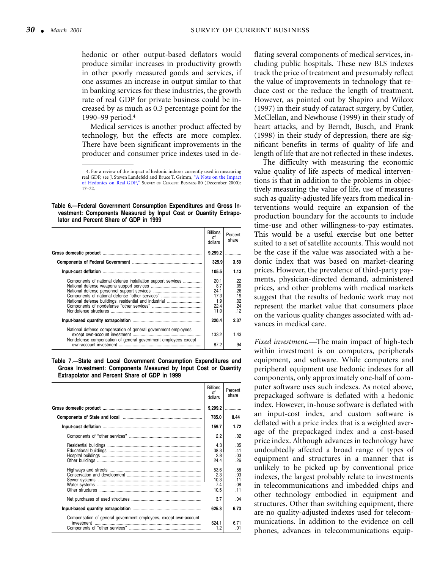<span id="page-7-0"></span>hedonic or other output-based deflators would produce similar increases in productivity growth in other poorly measured goods and services, if one assumes an increase in output similar to that in banking services for these industries, the growth rate of real GDP for private business could be increased by as much as 0.3 percentage point for the 1990–99 period.4

Medical services is another product affected by technology, but the effects are more complex. There have been significant improvements in the producer and consumer price indexes used in de-

**Table 6.—Federal Government Consumption Expenditures and Gross Investment: Components Measured by Input Cost or Quantity Extrapolator and Percent Share of GDP in 1999**

|                                                                                                                                 | <b>Billions</b><br>οf<br>dollars                   | Percent<br>share                              |
|---------------------------------------------------------------------------------------------------------------------------------|----------------------------------------------------|-----------------------------------------------|
|                                                                                                                                 | 9,299.2                                            | .                                             |
|                                                                                                                                 | 325.9                                              | 3.50                                          |
|                                                                                                                                 | 105.5                                              | 1.13                                          |
| Components of national defense installation support services<br>National defense buildings, residential and industrial          | 20.1<br>8.7<br>24.1<br>17.3<br>1.9<br>22.4<br>11.0 | .22<br>.09<br>.26<br>.19<br>.02<br>.24<br>.12 |
|                                                                                                                                 | 220.4                                              | 2.37                                          |
| National defense compensation of general government employees<br>Nondefense compensation of general government employees except | 133.2<br>87.2                                      | 1.43<br>.94                                   |

**Table 7.—State and Local Government Consumption Expenditures and Gross Investment: Components Measured by Input Cost or Quantity Extrapolator and Percent Share of GDP in 1999**

|                                                                                | <b>Billions</b><br>οf<br>dollars   | Percent<br>share                |
|--------------------------------------------------------------------------------|------------------------------------|---------------------------------|
|                                                                                | 9,299.2                            |                                 |
|                                                                                | 785.0                              | 8.44                            |
|                                                                                | 159.7                              | 1.72                            |
|                                                                                | 2.2                                | .02                             |
|                                                                                | 4.3<br>38.3<br>2.8<br>24.4         | .05<br>.41<br>.03<br>.26        |
|                                                                                | 53.6<br>2.3<br>10.3<br>7.4<br>10.5 | .58<br>.03<br>.11<br>.08<br>.11 |
|                                                                                | 3.7                                | .04                             |
|                                                                                | 625.3                              | 6.73                            |
| Compensation of general government employees, except own-account<br>investment | 624.1<br>1.2                       | 671<br>.01                      |

flating several components of medical services, including public hospitals. These new BLS indexes track the price of treatment and presumably reflect the value of improvements in technology that reduce cost or the reduce the length of treatment. However, as pointed out by Shapiro and Wilcox (1997) in their study of cataract surgery, by Cutler, McClellan, and Newhouse (1999) in their study of heart attacks, and by Berndt, Busch, and Frank (1998) in their study of depression, there are significant benefits in terms of quality of life and length of life that are not reflected in these indexes.

The difficulty with measuring the economic value quality of life aspects of medical interventions is that in addition to the problems in objectively measuring the value of life, use of measures such as quality-adjusted life years from medical interventions would require an expansion of the production boundary for the accounts to include time-use and other willingness-to-pay estimates. This would be a useful exercise but one better suited to a set of satellite accounts. This would not be the case if the value was associated with a hedonic index that was based on market-clearing prices. However, the prevalence of third-party payments, physician-directed demand, administered prices, and other problems with medical markets suggest that the results of hedonic work may not represent the market value that consumers place on the various quality changes associated with advances in medical care.

*Fixed investment.—*The main impact of high-tech within investment is on computers, peripherals equipment, and software. While computers and peripheral equipment use hedonic indexes for all components, only approximately one-half of computer software uses such indexes. As noted above, prepackaged software is deflated with a hedonic index. However, in-house software is deflated with an input-cost index, and custom software is deflated with a price index that is a weighted average of the prepackaged index and a cost-based price index. Although advances in technology have undoubtedly affected a broad range of types of equipment and structures in a manner that is unlikely to be picked up by conventional price indexes, the largest probably relate to investments in telecommunications and imbedded chips and other technology embodied in equipment and structures. Other than switching equipment, there are no quality-adjusted indexes used for telecommunications. In addition to the evidence on cell phones, advances in telecommunications equip-

<sup>4.</sup> For a review of the impact of hedonic indexes currently used in measuring real GDP, see J. Steven Landefeld and Bruce T. Grimm, "A Note on the [Impact](#page-0-0) [of Hedonics on Real GDP," S](#page-0-0)URVEY OF CURRENT BUSINESS 80 (December 2000): 17–22.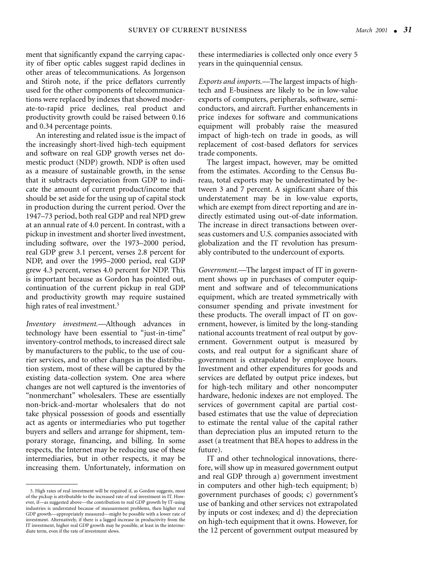ment that significantly expand the carrying capacity of fiber optic cables suggest rapid declines in other areas of telecommunications. As Jorgenson and Stiroh note, if the price deflators currently used for the other components of telecommunications were replaced by indexes that showed moderate-to-rapid price declines, real product and productivity growth could be raised between 0.16 and 0.34 percentage points.

 An interesting and related issue is the impact of the increasingly short-lived high-tech equipment and software on real GDP growth verses net domestic product (NDP) growth. NDP is often used as a measure of sustainable growth, in the sense that it subtracts depreciation from GDP to indicate the amount of current product/income that should be set aside for the using up of capital stock in production during the current period. Over the 1947–73 period, both real GDP and real NPD grew at an annual rate of 4.0 percent. In contrast, with a pickup in investment and shorter lived investment, including software, over the 1973–2000 period, real GDP grew 3.1 percent, verses 2.8 percent for NDP, and over the 1995–2000 period, real GDP grew 4.3 percent, verses 4.0 percent for NDP. This is important because as Gordon has pointed out, continuation of the current pickup in real GDP and productivity growth may require sustained high rates of real investment.<sup>5</sup>

*Inventory investment.—*Although advances in technology have been essential to "just-in-time" inventory-control methods, to increased direct sale by manufacturers to the public, to the use of courier services, and to other changes in the distribution system, most of these will be captured by the existing data-collection system. One area where changes are not well captured is the inventories of "nonmerchant" wholesalers. These are essentially non-brick-and-mortar wholesalers that do not take physical possession of goods and essentially act as agents or intermediaries who put together buyers and sellers and arrange for shipment, temporary storage, financing, and billing. In some respects, the Internet may be reducing use of these intermediaries, but in other respects, it may be increasing them. Unfortunately, information on

these intermediaries is collected only once every 5 years in the quinquennial census.

*Exports and imports.—*The largest impacts of hightech and E-business are likely to be in low-value exports of computers, peripherals, software, semiconductors, and aircraft. Further enhancements in price indexes for software and communications equipment will probably raise the measured impact of high-tech on trade in goods, as will replacement of cost-based deflators for services trade components.

The largest impact, however, may be omitted from the estimates. According to the Census Bureau, total exports may be underestimated by between 3 and 7 percent. A significant share of this understatement may be in low-value exports, which are exempt from direct reporting and are indirectly estimated using out-of-date information. The increase in direct transactions between overseas customers and U.S. companies associated with globalization and the IT revolution has presumably contributed to the undercount of exports.

*Government.—*The largest impact of IT in government shows up in purchases of computer equipment and software and of telecommunications equipment, which are treated symmetrically with consumer spending and private investment for these products. The overall impact of IT on government, however, is limited by the long-standing national accounts treatment of real output by government. Government output is measured by costs, and real output for a significant share of government is extrapolated by employee hours. Investment and other expenditures for goods and services are deflated by output price indexes, but for high-tech military and other noncomputer hardware, hedonic indexes are not employed. The services of government capital are partial costbased estimates that use the value of depreciation to estimate the rental value of the capital rather than depreciation plus an imputed return to the asset (a treatment that BEA hopes to address in the future).

IT and other technological innovations, therefore, will show up in measured government output and real GDP through a) government investment in computers and other high-tech equipment; b) government purchases of goods; c) government's use of banking and other services not extrapolated by inputs or cost indexes; and d) the depreciation on high-tech equipment that it owns. However, for the 12 percent of government output measured by

<sup>5.</sup> High rates of real investment will be required if, as Gordon suggests, most of the pickup is attributable to the increased rate of real investment in IT. However, if—as suggested above—the contribution to real GDP growth by IT-using industries is understated because of measurement problems, then higher real GDP growth—appropriately measured—might be possible with a lower rate of investment. Alternatively, if there is a lagged increase in productivity from the IT investment, higher real GDP growth may be possible, at least in the intermediate term, even if the rate of investment slows.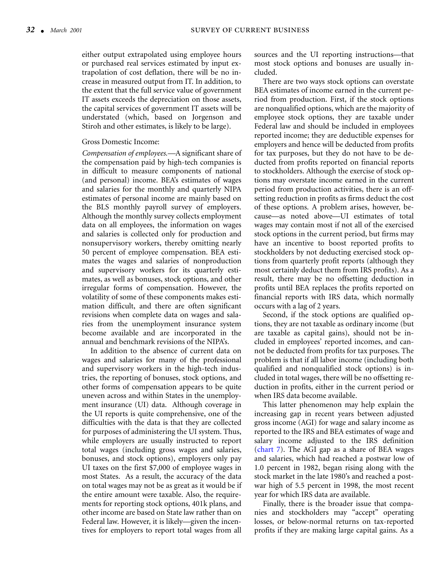either output extrapolated using employee hours or purchased real services estimated by input extrapolation of cost deflation, there will be no increase in measured output from IT. In addition, to the extent that the full service value of government IT assets exceeds the depreciation on those assets, the capital services of government IT assets will be understated (which, based on Jorgenson and Stiroh and other estimates, is likely to be large).

#### Gross Domestic Income:

*Compensation of employees.—*A significant share of the compensation paid by high-tech companies is in difficult to measure components of national (and personal) income. BEA's estimates of wages and salaries for the monthly and quarterly NIPA estimates of personal income are mainly based on the BLS monthly payroll survey of employers. Although the monthly survey collects employment data on all employees, the information on wages and salaries is collected only for production and nonsupervisory workers, thereby omitting nearly 50 percent of employee compensation. BEA estimates the wages and salaries of nonproduction and supervisory workers for its quarterly estimates, as well as bonuses, stock options, and other irregular forms of compensation. However, the volatility of some of these components makes estimation difficult, and there are often significant revisions when complete data on wages and salaries from the unemployment insurance system become available and are incorporated in the annual and benchmark revisions of the NIPA's.

In addition to the absence of current data on wages and salaries for many of the professional and supervisory workers in the high-tech industries, the reporting of bonuses, stock options, and other forms of compensation appears to be quite uneven across and within States in the unemployment insurance (UI) data. Although coverage in the UI reports is quite comprehensive, one of the difficulties with the data is that they are collected for purposes of administering the UI system. Thus, while employers are usually instructed to report total wages (including gross wages and salaries, bonuses, and stock options), employers only pay UI taxes on the first \$7,000 of employee wages in most States. As a result, the accuracy of the data on total wages may not be as great as it would be if the entire amount were taxable. Also, the requirements for reporting stock options, 401k plans, and other income are based on State law rather than on Federal law. However, it is likely—given the incentives for employers to report total wages from all

sources and the UI reporting instructions—that most stock options and bonuses are usually included.

There are two ways stock options can overstate BEA estimates of income earned in the current period from production. First, if the stock options are nonqualified options, which are the majority of employee stock options, they are taxable under Federal law and should be included in employees reported income; they are deductible expenses for employers and hence will be deducted from profits for tax purposes, but they do not have to be deducted from profits reported on financial reports to stockholders. Although the exercise of stock options may overstate income earned in the current period from production activities, there is an offsetting reduction in profits as firms deduct the cost of these options. A problem arises, however, because—as noted above—UI estimates of total wages may contain most if not all of the exercised stock options in the current period, but firms may have an incentive to boost reported profits to stockholders by not deducting exercised stock options from quarterly profit reports (although they most certainly deduct them from IRS profits). As a result, there may be no offsetting deduction in profits until BEA replaces the profits reported on financial reports with IRS data, which normally occurs with a lag of 2 years.

Second, if the stock options are qualified options, they are not taxable as ordinary income (but are taxable as capital gains), should not be included in employees' reported incomes, and cannot be deducted from profits for tax purposes. The problem is that if all labor income (including both qualified and nonqualified stock options) is included in total wages, there will be no offsetting reduction in profits, either in the current period or when IRS data become available.

This latter phenomenon may help explain the increasing gap in recent years between adjusted gross income (AGI) for wage and salary income as reported to the IRS and BEA estimates of wage and salary income adjusted to the IRS definition (chart 7). The AGI gap as a share of BEA wages and salaries, which had reached a postwar low of 1.0 percent in 1982, began rising along with the stock market in the late 1980's and reached a postwar high of 5.5 percent in 1998, the most recent year for which IRS data are available.

Finally, there is the broader issue that companies and stockholders may "accept" operating losses, or below-normal returns on tax-reported profits if they are making large capital gains. As a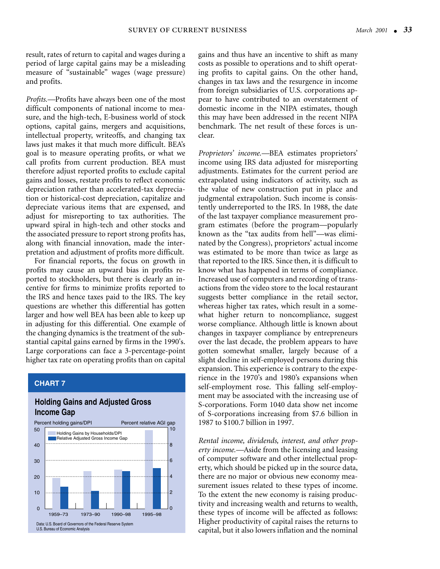result, rates of return to capital and wages during a period of large capital gains may be a misleading measure of "sustainable" wages (wage pressure) and profits.

*Profits.—*Profits have always been one of the most difficult components of national income to measure, and the high-tech, E-business world of stock options, capital gains, mergers and acquisitions, intellectual property, writeoffs, and changing tax laws just makes it that much more difficult. BEA's goal is to measure operating profits, or what we call profits from current production. BEA must therefore adjust reported profits to exclude capital gains and losses, restate profits to reflect economic depreciation rather than accelerated-tax depreciation or historical-cost depreciation, capitalize and depreciate various items that are expensed, and adjust for misreporting to tax authorities. The upward spiral in high-tech and other stocks and the associated pressure to report strong profits has, along with financial innovation, made the interpretation and adjustment of profits more difficult.

For financial reports, the focus on growth in profits may cause an upward bias in profits reported to stockholders, but there is clearly an incentive for firms to minimize profits reported to the IRS and hence taxes paid to the IRS. The key questions are whether this differential has gotten larger and how well BEA has been able to keep up in adjusting for this differential. One example of the changing dynamics is the treatment of the substantial capital gains earned by firms in the 1990's. Large corporations can face a 3-percentage-point higher tax rate on operating profits than on capital

## **CHART 7**

## **Holding Gains and Adjusted Gross Income Gap**



gains and thus have an incentive to shift as many costs as possible to operations and to shift operating profits to capital gains. On the other hand, changes in tax laws and the resurgence in income from foreign subsidiaries of U.S. corporations appear to have contributed to an overstatement of domestic income in the NIPA estimates, though this may have been addressed in the recent NIPA benchmark. The net result of these forces is unclear.

*Proprietors' income.—*BEA estimates proprietors' income using IRS data adjusted for misreporting adjustments. Estimates for the current period are extrapolated using indicators of activity, such as the value of new construction put in place and judgmental extrapolation. Such income is consistently underreported to the IRS. In 1988, the date of the last taxpayer compliance measurement program estimates (before the program—popularly known as the "tax audits from hell"—was eliminated by the Congress), proprietors' actual income was estimated to be more than twice as large as that reported to the IRS. Since then, it is difficult to know what has happened in terms of compliance. Increased use of computers and recording of transactions from the video store to the local restaurant suggests better compliance in the retail sector, whereas higher tax rates, which result in a somewhat higher return to noncompliance, suggest worse compliance. Although little is known about changes in taxpayer compliance by entrepreneurs over the last decade, the problem appears to have gotten somewhat smaller, largely because of a slight decline in self-employed persons during this expansion. This experience is contrary to the experience in the 1970's and 1980's expansions when self-employment rose. This falling self-employment may be associated with the increasing use of S-corporations. Form 1040 data show net income of S-corporations increasing from \$7.6 billion in 1987 to \$100.7 billion in 1997.

*Rental income, dividends, interest, and other property income.—*Aside from the licensing and leasing of computer software and other intellectual property, which should be picked up in the source data, there are no major or obvious new economy measurement issues related to these types of income. To the extent the new economy is raising productivity and increasing wealth and returns to wealth, these types of income will be affected as follows: Higher productivity of capital raises the returns to capital, but it also lowers inflation and the nominal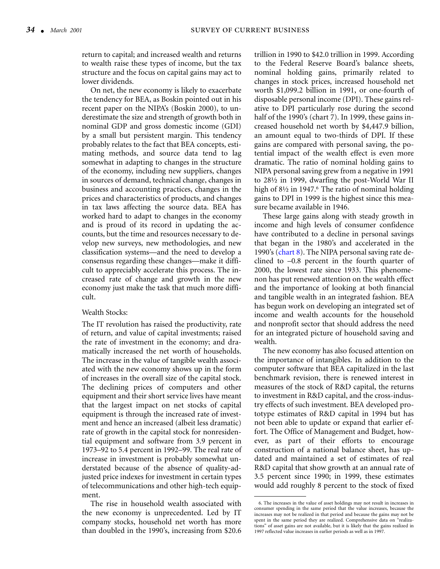return to capital; and increased wealth and returns to wealth raise these types of income, but the tax structure and the focus on capital gains may act to lower dividends.

On net, the new economy is likely to exacerbate the tendency for BEA, as Boskin pointed out in his recent paper on the NIPA's (Boskin 2000), to underestimate the size and strength of growth both in nominal GDP and gross domestic income (GDI) by a small but persistent margin. This tendency probably relates to the fact that BEA concepts, estimating methods, and source data tend to lag somewhat in adapting to changes in the structure of the economy, including new suppliers, changes in sources of demand, technical change, changes in business and accounting practices, changes in the prices and characteristics of products, and changes in tax laws affecting the source data. BEA has worked hard to adapt to changes in the economy and is proud of its record in updating the accounts, but the time and resources necessary to develop new surveys, new methodologies, and new classification systems—and the need to develop a consensus regarding these changes—make it difficult to appreciably accelerate this process. The increased rate of change and growth in the new economy just make the task that much more difficult.

#### Wealth Stocks:

The IT revolution has raised the productivity, rate of return, and value of capital investments; raised the rate of investment in the economy; and dramatically increased the net worth of households. The increase in the value of tangible wealth associated with the new economy shows up in the form of increases in the overall size of the capital stock. The declining prices of computers and other equipment and their short service lives have meant that the largest impact on net stocks of capital equipment is through the increased rate of investment and hence an increased (albeit less dramatic) rate of growth in the capital stock for nonresidential equipment and software from 3.9 percent in 1973–92 to 5.4 percent in 1992–99. The real rate of increase in investment is probably somewhat understated because of the absence of quality-adjusted price indexes for investment in certain types of telecommunications and other high-tech equipment.

The rise in household wealth associated with the new economy is unprecedented. Led by IT company stocks, household net worth has more than doubled in the 1990's, increasing from \$20.6

trillion in 1990 to \$42.0 trillion in 1999. According to the Federal Reserve Board's balance sheets, nominal holding gains, primarily related to changes in stock prices, increased household net worth \$1,099.2 billion in 1991, or one-fourth of disposable personal income (DPI). These gains relative to DPI particularly rose during the second half of the 1990's (chart 7). In 1999, these gains increased household net worth by \$4,447.9 billion, an amount equal to two-thirds of DPI. If these gains are compared with personal saving, the potential impact of the wealth effect is even more dramatic. The ratio of nominal holding gains to NIPA personal saving grew from a negative in 1991 to 28½ in 1999, dwarfing the post-World War II high of 8½ in 1947.<sup>6</sup> The ratio of nominal holding gains to DPI in 1999 is the highest since this measure became available in 1946.

These large gains along with steady growth in income and high levels of consumer confidence have contributed to a decline in personal savings that began in the 1980's and accelerated in the 1990's (chart 8). The NIPA personal saving rate declined to –0.8 percent in the fourth quarter of 2000, the lowest rate since 1933. This phenomenon has put renewed attention on the wealth effect and the importance of looking at both financial and tangible wealth in an integrated fashion. BEA has begun work on developing an integrated set of income and wealth accounts for the household and nonprofit sector that should address the need for an integrated picture of household saving and wealth.

The new economy has also focused attention on the importance of intangibles. In addition to the computer software that BEA capitalized in the last benchmark revision, there is renewed interest in measures of the stock of R&D capital, the returns to investment in R&D capital, and the cross-industry effects of such investment. BEA developed prototype estimates of R&D capital in 1994 but has not been able to update or expand that earlier effort. The Office of Management and Budget, however, as part of their efforts to encourage construction of a national balance sheet, has updated and maintained a set of estimates of real R&D capital that show growth at an annual rate of 3.5 percent since 1990; in 1999, these estimates would add roughly 8 percent to the stock of fixed

<sup>6.</sup> The increases in the value of asset holdings may not result in increases in consumer spending in the same period that the value increases, because the increases may not be realized in that period and because the gains may not be spent in the same period they are realized. Comprehensive data on "realizations" of asset gains are not available, but it is likely that the gains realized in 1997 reflected value increases in earlier periods as well as in 1997.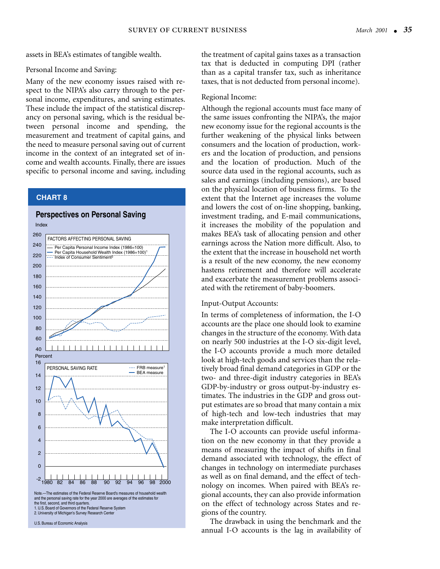assets in BEA's estimates of tangible wealth.

#### Personal Income and Saving:

Many of the new economy issues raised with respect to the NIPA's also carry through to the personal income, expenditures, and saving estimates. These include the impact of the statistical discrepancy on personal saving, which is the residual between personal income and spending, the measurement and treatment of capital gains, and the need to measure personal saving out of current income in the context of an integrated set of income and wealth accounts. Finally, there are issues specific to personal income and saving, including

## **CHART 8**



the treatment of capital gains taxes as a transaction tax that is deducted in computing DPI (rather than as a capital transfer tax, such as inheritance taxes, that is not deducted from personal income).

#### Regional Income:

Although the regional accounts must face many of the same issues confronting the NIPA's, the major new economy issue for the regional accounts is the further weakening of the physical links between consumers and the location of production, workers and the location of production, and pensions and the location of production. Much of the source data used in the regional accounts, such as sales and earnings (including pensions), are based on the physical location of business firms. To the extent that the Internet age increases the volume and lowers the cost of on-line shopping, banking, investment trading, and E-mail communications, it increases the mobility of the population and makes BEA's task of allocating pension and other earnings across the Nation more difficult. Also, to the extent that the increase in household net worth is a result of the new economy, the new economy hastens retirement and therefore will accelerate and exacerbate the measurement problems associated with the retirement of baby-boomers.

#### Input-Output Accounts:

In terms of completeness of information, the I-O accounts are the place one should look to examine changes in the structure of the economy. With data on nearly 500 industries at the I-O six-digit level, the I-O accounts provide a much more detailed look at high-tech goods and services than the relatively broad final demand categories in GDP or the two- and three-digit industry categories in BEA's GDP-by-industry or gross output-by-industry estimates. The industries in the GDP and gross output estimates are so broad that many contain a mix of high-tech and low-tech industries that may make interpretation difficult.

The I-O accounts can provide useful information on the new economy in that they provide a means of measuring the impact of shifts in final demand associated with technology, the effect of changes in technology on intermediate purchases as well as on final demand, and the effect of technology on incomes. When paired with BEA's regional accounts, they can also provide information on the effect of technology across States and regions of the country.

The drawback in using the benchmark and the annual I-O accounts is the lag in availability of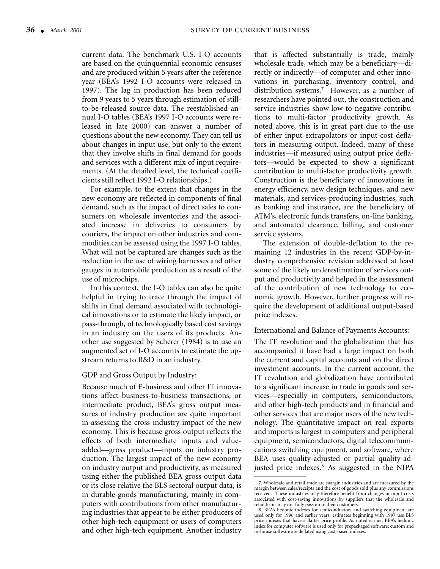current data. The benchmark U.S. I-O accounts are based on the quinquennial economic censuses and are produced within 5 years after the reference year (BEA's 1992 I-O accounts were released in 1997). The lag in production has been reduced from 9 years to 5 years through estimation of stillto-be-released source data. The reestablished annual I-O tables (BEA's 1997 I-O accounts were released in late 2000) can answer a number of questions about the new economy. They can tell us about changes in input use, but only to the extent that they involve shifts in final demand for goods and services with a different mix of input requirements. (At the detailed level, the technical coefficients still reflect 1992 I-O relationships.)

For example, to the extent that changes in the new economy are reflected in components of final demand, such as the impact of direct sales to consumers on wholesale inventories and the associated increase in deliveries to consumers by couriers, the impact on other industries and commodities can be assessed using the 1997 I-O tables. What will not be captured are changes such as the reduction in the use of wiring harnesses and other gauges in automobile production as a result of the use of microchips.

In this context, the I-O tables can also be quite helpful in trying to trace through the impact of shifts in final demand associated with technological innovations or to estimate the likely impact, or pass-through, of technologically based cost savings in an industry on the users of its products. Another use suggested by Scherer (1984) is to use an augmented set of I-O accounts to estimate the upstream returns to R&D in an industry.

#### GDP and Gross Output by Industry:

Because much of E-business and other IT innovations affect business-to-business transactions, or intermediate product, BEA's gross output measures of industry production are quite important in assessing the cross-industry impact of the new economy. This is because gross output reflects the effects of both intermediate inputs and valueadded—gross product—inputs on industry production. The largest impact of the new economy on industry output and productivity, as measured using either the published BEA gross output data or its close relative the BLS sectoral output data, is in durable-goods manufacturing, mainly in computers with contributions from other manufacturing industries that appear to be either producers of other high-tech equipment or users of computers and other high-tech equipment. Another industry

that is affected substantially is trade, mainly wholesale trade, which may be a beneficiary—directly or indirectly—of computer and other innovations in purchasing, inventory control, and distribution systems.7 However, as a number of researchers have pointed out, the construction and service industries show low-to-negative contributions to multi-factor productivity growth. As noted above, this is in great part due to the use of either input extrapolators or input-cost deflators in measuring output. Indeed, many of these industries—if measured using output price deflators—would be expected to show a significant contribution to multi-factor productivity growth. Construction is the beneficiary of innovations in energy efficiency, new design techniques, and new materials, and services-producing industries, such as banking and insurance, are the beneficiary of ATM's, electronic funds transfers, on-line banking, and automated clearance, billing, and customer service systems.

The extension of double-deflation to the remaining 12 industries in the recent GDP-by-industry comprehensive revision addressed at least some of the likely underestimation of services output and productivity and helped in the assessment of the contribution of new technology to economic growth. However, further progress will require the development of additional output-based price indexes.

#### International and Balance of Payments Accounts:

The IT revolution and the globalization that has accompanied it have had a large impact on both the current and capital accounts and on the direct investment accounts. In the current account, the IT revolution and globalization have contributed to a significant increase in trade in goods and services—especially in computers, semiconductors, and other high-tech products and in financial and other services that are major users of the new technology. The quantitative impact on real exports and imports is largest in computers and peripheral equipment, semiconductors, digital telecommunications switching equipment, and software, where BEA uses quality-adjusted or partial quality-adjusted price indexes.8 As suggested in the NIPA

<sup>7.</sup> Wholesale and retail trade are margin industries and are measured by the margin between sales/receipts and the cost of goods sold plus any commissions received. These industries may therefore benefit from changes in input costs associated with cost-saving innovations by suppliers that the wholesale and retail firms may not fully pass on to their customers.

<sup>8.</sup> BEA's hedonic indexes for semiconductors and switching equipment are used only for 1996 and earlier years; estimates beginning with 1997 use BLS price indexes that have a flatter price profile. As noted earlier, BEA's hedonic index for computer software is used only for prepackaged software; custom and in-house software are deflated using cost-based indexes.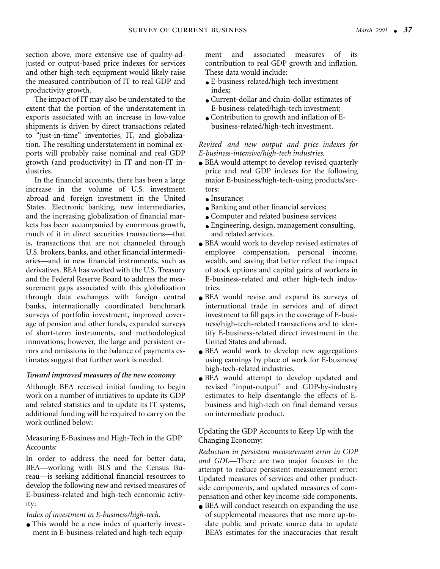section above, more extensive use of quality-adjusted or output-based price indexes for services and other high-tech equipment would likely raise the measured contribution of IT to real GDP and productivity growth.

The impact of IT may also be understated to the extent that the portion of the understatement in exports associated with an increase in low-value shipments is driven by direct transactions related to "just-in-time" inventories, IT, and globalization. The resulting understatement in nominal exports will probably raise nominal and real GDP growth (and productivity) in IT and non-IT industries.

In the financial accounts, there has been a large increase in the volume of U.S. investment abroad and foreign investment in the United States. Electronic banking, new intermediaries, and the increasing globalization of financial markets has been accompanied by enormous growth, much of it in direct securities transactions—that is, transactions that are not channeled through U.S. brokers, banks, and other financial intermediaries—and in new financial instruments, such as derivatives. BEA has worked with the U.S. Treasury and the Federal Reserve Board to address the measurement gaps associated with this globalization through data exchanges with foreign central banks, internationally coordinated benchmark surveys of portfolio investment, improved coverage of pension and other funds, expanded surveys of short-term instruments, and methodological innovations; however, the large and persistent errors and omissions in the balance of payments estimates suggest that further work is needed.

## *Toward improved measures of the new economy*

Although BEA received initial funding to begin work on a number of initiatives to update its GDP and related statistics and to update its IT systems, additional funding will be required to carry on the work outlined below:

Measuring E-Business and High-Tech in the GDP Accounts:

In order to address the need for better data, BEA—working with BLS and the Census Bureau—is seeking additional financial resources to develop the following new and revised measures of E-business-related and high-tech economic activity:

*Index of investment in E-business/high-tech.*

• This would be a new index of quarterly investment in E-business-related and high-tech equipment and associated measures of its contribution to real GDP growth and inflation. These data would include:

- E-business-related/high-tech investment index;
- Current-dollar and chain-dollar estimates of E-business-related/high-tech investment;
- $\bullet$  Contribution to growth and inflation of Ebusiness-related/high-tech investment.

*Revised and new output and price indexes for E-business-intensive/high-tech industries.*

- BEA would attempt to develop revised quarterly price and real GDP indexes for the following major E-business/high-tech-using products/sectors:
	- Insurance;
	- Banking and other financial services;
	- Computer and related business services;
	- Engineering, design, management consulting, and related services.
- BEA would work to develop revised estimates of employee compensation, personal income, wealth, and saving that better reflect the impact of stock options and capital gains of workers in E-business-related and other high-tech industries.
- BEA would revise and expand its surveys of international trade in services and of direct investment to fill gaps in the coverage of E-business/high-tech-related transactions and to identify E-business-related direct investment in the United States and abroad.
- BEA would work to develop new aggregations using earnings by place of work for E-business/ high-tech-related industries.
- BEA would attempt to develop updated and revised "input-output" and GDP-by-industry estimates to help disentangle the effects of Ebusiness and high-tech on final demand versus on intermediate product.

Updating the GDP Accounts to Keep Up with the Changing Economy:

*Reduction in persistent measurement error in GDP and GDI.*—There are two major focuses in the attempt to reduce persistent measurement error: Updated measures of services and other productside components, and updated measures of compensation and other key income-side components.

● BEA will conduct research on expanding the use of supplemental measures that use more up-todate public and private source data to update BEA's estimates for the inaccuracies that result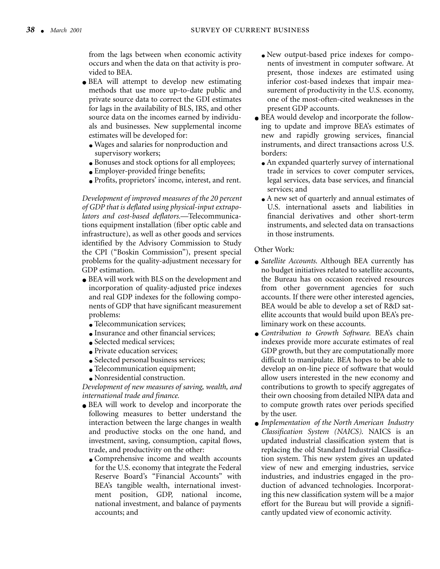from the lags between when economic activity occurs and when the data on that activity is provided to BEA.

- BEA will attempt to develop new estimating methods that use more up-to-date public and private source data to correct the GDI estimates for lags in the availability of BLS, IRS, and other source data on the incomes earned by individuals and businesses. New supplemental income estimates will be developed for:
	- Wages and salaries for nonproduction and supervisory workers;
	- Bonuses and stock options for all employees;
	- Employer-provided fringe benefits;
	- Profits, proprietors' income, interest, and rent.

*Development of improved measures of the 20 percent of GDP that is deflated using physical-input extrapolators and cost-based deflators.*—Telecommunications equipment installation (fiber optic cable and infrastructure), as well as other goods and services identified by the Advisory Commission to Study the CPI ("Boskin Commission"), present special problems for the quality-adjustment necessary for GDP estimation.

- BEA will work with BLS on the development and incorporation of quality-adjusted price indexes and real GDP indexes for the following components of GDP that have significant measurement problems:
	- Telecommunication services;
	- Insurance and other financial services:
	- Selected medical services:
	- Private education services;
	- Selected personal business services;
	- Telecommunication equipment;
	- Nonresidential construction.

*Development of new measures of saving, wealth, and international trade and finance.*

- BEA will work to develop and incorporate the following measures to better understand the interaction between the large changes in wealth and productive stocks on the one hand, and investment, saving, consumption, capital flows, trade, and productivity on the other:
	- Comprehensive income and wealth accounts for the U.S. economy that integrate the Federal Reserve Board's "Financial Accounts" with BEA's tangible wealth, international investment position, GDP, national income, national investment, and balance of payments accounts; and
- New output-based price indexes for components of investment in computer software. At present, those indexes are estimated using inferior cost-based indexes that impair measurement of productivity in the U.S. economy, one of the most-often-cited weaknesses in the present GDP accounts.
- BEA would develop and incorporate the following to update and improve BEA's estimates of new and rapidly growing services, financial instruments, and direct transactions across U.S. borders:
	- An expanded quarterly survey of international trade in services to cover computer services, legal services, data base services, and financial services; and
	- A new set of quarterly and annual estimates of U.S. international assets and liabilities in financial derivatives and other short-term instruments, and selected data on transactions in those instruments.

## Other Work:

- *Satellite Accounts*. Although BEA currently has no budget initiatives related to satellite accounts, the Bureau has on occasion received resources from other government agencies for such accounts. If there were other interested agencies, BEA would be able to develop a set of R&D satellite accounts that would build upon BEA's preliminary work on these accounts.
- *Contribution to Growth Software.* BEA's chain indexes provide more accurate estimates of real GDP growth, but they are computationally more difficult to manipulate. BEA hopes to be able to develop an on-line piece of software that would allow users interested in the new economy and contributions to growth to specify aggregates of their own choosing from detailed NIPA data and to compute growth rates over periods specified by the user.
- *Implementation of the North American Industry Classification System (NAICS)*. NAICS is an updated industrial classification system that is replacing the old Standard Industrial Classification system. This new system gives an updated view of new and emerging industries, service industries, and industries engaged in the production of advanced technologies. Incorporating this new classification system will be a major effort for the Bureau but will provide a significantly updated view of economic activity.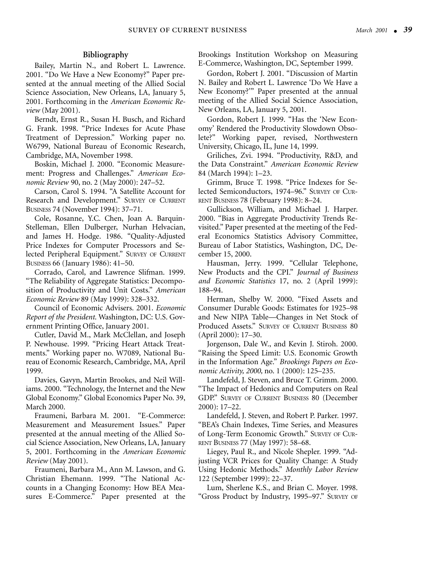#### **Bibliography**

Bailey, Martin N., and Robert L. Lawrence. 2001. "Do We Have a New Economy?" Paper presented at the annual meeting of the Allied Social Science Association, New Orleans, LA, January 5, 2001. Forthcoming in the *American Economic Review* (May 2001).

Berndt, Ernst R., Susan H. Busch, and Richard G. Frank. 1998. "Price Indexes for Acute Phase Treatment of Depression." Working paper no. W6799, National Bureau of Economic Research, Cambridge, MA, November 1998.

Boskin, Michael J. 2000. "Economic Measurement: Progress and Challenges." *American Economic Review* 90, no. 2 (May 2000): 247–52.

Carson, Carol S. 1994. "A Satellite Account for Research and Development." SURVEY OF CURRENT BUSINESS 74 (November 1994): 37–71.

Cole, Rosanne, Y.C. Chen, Joan A. Barquin-Stelleman, Ellen Dulberger, Nurhan Helvacian, and James H. Hodge. 1986. "Quality-Adjusted Price Indexes for Computer Processors and Selected Peripheral Equipment." SURVEY OF CURRENT BUSINESS 66 (January 1986): 41–50.

Corrado, Carol, and Lawrence Slifman. 1999. "The Reliability of Aggregate Statistics: Decomposition of Productivity and Unit Costs." *American Economic Review* 89 (May 1999): 328–332.

Council of Economic Advisers. 2001. *Economic Report of the President*. Washington, DC: U.S. Government Printing Office, January 2001.

Cutler, David M., Mark McClellan, and Joseph P. Newhouse. 1999. "Pricing Heart Attack Treatments." Working paper no. W7089, National Bureau of Economic Research, Cambridge, MA, April 1999.

Davies, Gavyn, Martin Brookes, and Neil Williams. 2000. "Technology, the Internet and the New Global Economy." Global Economics Paper No. 39, March 2000.

Fraumeni, Barbara M. 2001. "E-Commerce: Measurement and Measurement Issues." Paper presented at the annual meeting of the Allied Social Science Association, New Orleans, LA, January 5, 2001. Forthcoming in the *American Economic Review* (May 2001).

Fraumeni, Barbara M., Ann M. Lawson, and G. Christian Ehemann. 1999. "The National Accounts in a Changing Economy: How BEA Measures E-Commerce." Paper presented at the

Brookings Institution Workshop on Measuring E-Commerce, Washington, DC, September 1999.

Gordon, Robert J. 2001. "Discussion of Martin N. Bailey and Robert L. Lawrence 'Do We Have a New Economy?'" Paper presented at the annual meeting of the Allied Social Science Association, New Orleans, LA, January 5, 2001.

Gordon, Robert J. 1999. "Has the 'New Economy' Rendered the Productivity Slowdown Obsolete?" Working paper, revised, Northwestern University, Chicago, IL, June 14, 1999.

Griliches, Zvi. 1994. "Productivity, R&D, and the Data Constraint." *American Economic Review* 84 (March 1994): 1–23.

Grimm, Bruce T. 1998. "Price Indexes for Selected Semiconductors, 1974–96." SURVEY OF CUR-RENT BUSINESS 78 (February 1998): 8–24.

Gullickson, William, and Michael J. Harper. 2000. "Bias in Aggregate Productivity Trends Revisited." Paper presented at the meeting of the Federal Economics Statistics Advisory Committee, Bureau of Labor Statistics, Washington, DC, December 15, 2000.

Hausman, Jerry. 1999. "Cellular Telephone, New Products and the CPI." *Journal of Business and Economic Statistics* 17, no. 2 (April 1999): 188–94.

Herman, Shelby W. 2000. "Fixed Assets and Consumer Durable Goods: Estimates for 1925–98 and New NIPA Table—Changes in Net Stock of Produced Assets." SURVEY OF CURRENT BUSINESS 80 (April 2000): 17–30.

Jorgenson, Dale W., and Kevin J. Stiroh. 2000. "Raising the Speed Limit: U.S. Economic Growth in the Information Age." *Brookings Papers on Economic Activity, 2000,* no. 1 (2000): 125–235.

Landefeld, J. Steven, and Bruce T. Grimm. 2000. "The Impact of Hedonics and Computers on Real GDP." SURVEY OF CURRENT BUSINESS 80 (December 2000): 17–22.

Landefeld, J. Steven, and Robert P. Parker. 1997. "BEA's Chain Indexes, Time Series, and Measures of Long-Term Economic Growth." SURVEY OF CUR-RENT BUSINESS 77 (May 1997): 58–68.

Liegey, Paul R., and Nicole Shepler. 1999. "Adjusting VCR Prices for Quality Change: A Study Using Hedonic Methods." *Monthly Labor Review* 122 (September 1999): 22–37.

Lum, Sherlene K.S., and Brian C. Moyer. 1998. "Gross Product by Industry, 1995–97." SURVEY OF